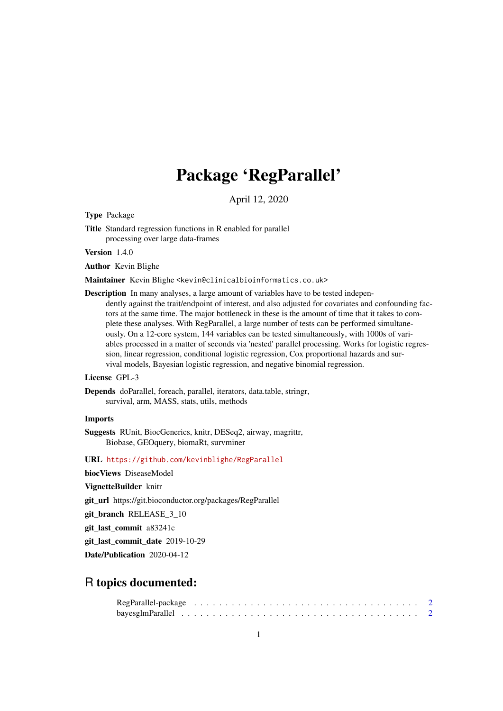# Package 'RegParallel'

April 12, 2020

<span id="page-0-0"></span>Type Package

Title Standard regression functions in R enabled for parallel processing over large data-frames

Version 1.4.0

Author Kevin Blighe

Maintainer Kevin Blighe <kevin@clinicalbioinformatics.co.uk>

Description In many analyses, a large amount of variables have to be tested independently against the trait/endpoint of interest, and also adjusted for covariates and confounding factors at the same time. The major bottleneck in these is the amount of time that it takes to complete these analyses. With RegParallel, a large number of tests can be performed simultaneously. On a 12-core system, 144 variables can be tested simultaneously, with 1000s of variables processed in a matter of seconds via 'nested' parallel processing. Works for logistic regression, linear regression, conditional logistic regression, Cox proportional hazards and survival models, Bayesian logistic regression, and negative binomial regression.

#### License GPL-3

Depends doParallel, foreach, parallel, iterators, data.table, stringr, survival, arm, MASS, stats, utils, methods

#### Imports

Suggests RUnit, BiocGenerics, knitr, DESeq2, airway, magrittr, Biobase, GEOquery, biomaRt, survminer

URL <https://github.com/kevinblighe/RegParallel>

biocViews DiseaseModel

VignetteBuilder knitr

git\_url https://git.bioconductor.org/packages/RegParallel

git branch RELEASE 3 10

git\_last\_commit a83241c

git last commit date 2019-10-29

Date/Publication 2020-04-12

# R topics documented: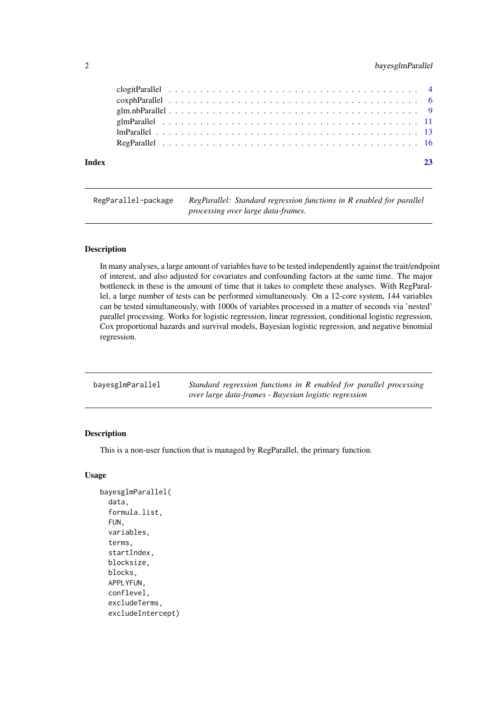# <span id="page-1-0"></span>2 bayesglmParallel

| Index |  |  |  |  |  |  |  |  |  |  |  |  |  |  |  |  |  |  |  |
|-------|--|--|--|--|--|--|--|--|--|--|--|--|--|--|--|--|--|--|--|

RegParallel-package *RegParallel: Standard regression functions in R enabled for parallel processing over large data-frames.*

#### Description

In many analyses, a large amount of variables have to be tested independently against the trait/endpoint of interest, and also adjusted for covariates and confounding factors at the same time. The major bottleneck in these is the amount of time that it takes to complete these analyses. With RegParallel, a large number of tests can be performed simultaneously. On a 12-core system, 144 variables can be tested simultaneously, with 1000s of variables processed in a matter of seconds via 'nested' parallel processing. Works for logistic regression, linear regression, conditional logistic regression, Cox proportional hazards and survival models, Bayesian logistic regression, and negative binomial regression.

| bayesglmParallel | Standard regression functions in R enabled for parallel processing |
|------------------|--------------------------------------------------------------------|
|                  | over large data-frames - Bayesian logistic regression              |

#### Description

This is a non-user function that is managed by RegParallel, the primary function.

#### Usage

```
bayesglmParallel(
  data,
  formula.list,
  FUN,
  variables,
  terms,
  startIndex,
  blocksize,
  blocks,
  APPLYFUN,
  conflevel,
  excludeTerms,
  excludeIntercept)
```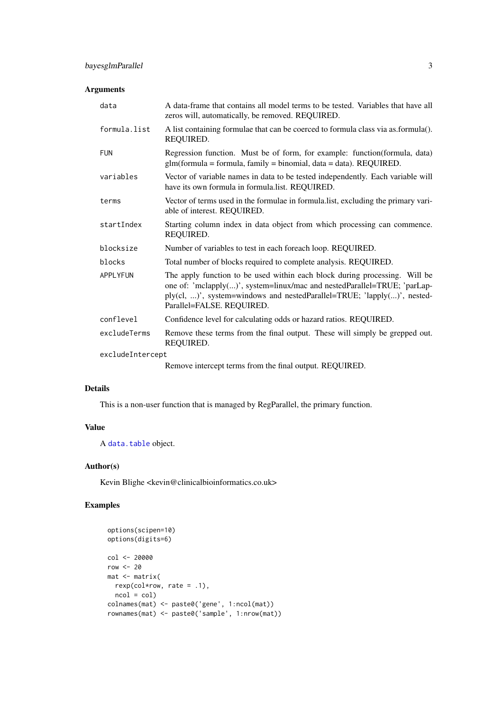#### <span id="page-2-0"></span>Arguments

| data         | A data-frame that contains all model terms to be tested. Variables that have all<br>zeros will, automatically, be removed. REQUIRED.                                                                                                                           |  |  |  |  |  |  |
|--------------|----------------------------------------------------------------------------------------------------------------------------------------------------------------------------------------------------------------------------------------------------------------|--|--|--|--|--|--|
| formula.list | A list containing formulae that can be coerced to formula class via as.formula().<br>REQUIRED.                                                                                                                                                                 |  |  |  |  |  |  |
| <b>FUN</b>   | Regression function. Must be of form, for example: function(formula, data)<br>$glm(formula = formula, family = binomial, data = data). REQUIRED.$                                                                                                              |  |  |  |  |  |  |
| variables    | Vector of variable names in data to be tested independently. Each variable will<br>have its own formula in formula.list. REQUIRED.                                                                                                                             |  |  |  |  |  |  |
| terms        | Vector of terms used in the formulae in formula.list, excluding the primary vari-<br>able of interest. REQUIRED.                                                                                                                                               |  |  |  |  |  |  |
| startIndex   | Starting column index in data object from which processing can commence.<br>REQUIRED.                                                                                                                                                                          |  |  |  |  |  |  |
| blocksize    | Number of variables to test in each foreach loop. REQUIRED.                                                                                                                                                                                                    |  |  |  |  |  |  |
| blocks       | Total number of blocks required to complete analysis. REQUIRED.                                                                                                                                                                                                |  |  |  |  |  |  |
| APPLYFUN     | The apply function to be used within each block during processing. Will be<br>one of: 'mclapply()', system=linux/mac and nestedParallel=TRUE; 'parLap-<br>ply(cl, )', system=windows and nestedParallel=TRUE; 'lapply()', nested-<br>Parallel=FALSE. REQUIRED. |  |  |  |  |  |  |
| conflevel    | Confidence level for calculating odds or hazard ratios. REQUIRED.                                                                                                                                                                                              |  |  |  |  |  |  |
| excludeTerms | Remove these terms from the final output. These will simply be grepped out.<br>REQUIRED.                                                                                                                                                                       |  |  |  |  |  |  |
|              | excludeIntercept                                                                                                                                                                                                                                               |  |  |  |  |  |  |
|              | Remove intercent terms from the final output REOURED                                                                                                                                                                                                           |  |  |  |  |  |  |

Remove intercept terms from the final output. REQUIRED.

# Details

This is a non-user function that is managed by RegParallel, the primary function.

# Value

A [data.table](#page-0-0) object.

# Author(s)

Kevin Blighe <kevin@clinicalbioinformatics.co.uk>

```
options(scipen=10)
options(digits=6)
col <- 20000
row < -20mat <- matrix(
 rexp(col*row, rate = .1),
 ncol = colcolnames(mat) <- paste0('gene', 1:ncol(mat))
rownames(mat) <- paste0('sample', 1:nrow(mat))
```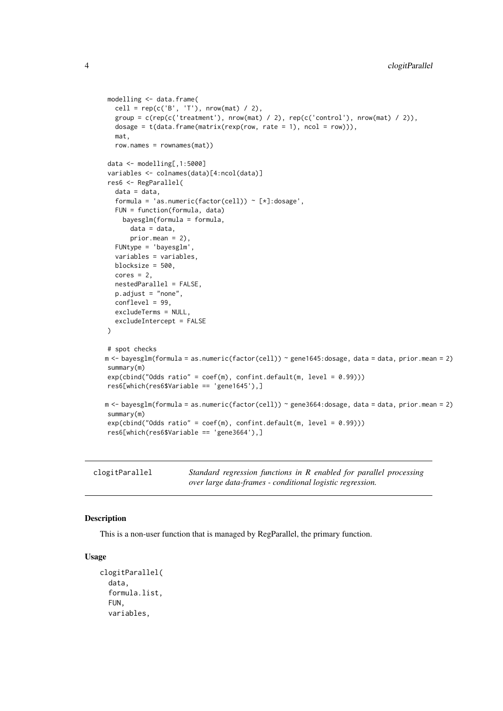```
modelling <- data.frame(
  cell = rep(c('B', 'T'), nrow(mat) / 2),
  group = c(rep(c('treatment'), nrow(mat) / 2), rep(c('control'), nrow(mat) / 2)),
  dosage = t(data.fname(matrix(rexp(row, rate = 1), ncol = row)),
  mat,
  row.names = rownames(mat))
data <- modelling[,1:5000]
variables <- colnames(data)[4:ncol(data)]
res6 <- RegParallel(
  data = data,
  formula = 'as.numeric(factor(cell)) \sim [*]:dosage',
  FUN = function(formula, data)
    bayesglm(formula = formula,
      data = data,
      prior.mean = 2),
  FUNtype = 'bayesglm',
  variables = variables,
  blocksize = 500,
  cores = 2,
  nestedParallel = FALSE,
  p.adjust = "none",
  conflevel = 99,
  excludeTerms = NULL,
  excludeIntercept = FALSE
)
# spot checks
m <- bayesglm(formula = as.numeric(factor(cell)) ~ gene1645:dosage, data = data, prior.mean = 2)
summary(m)
exp(cbind("Odds ratio" = coef(m), confint.default(m, level = 0.99)))res6[which(res6$Variable == 'gene1645'),]
m <- bayesglm(formula = as.numeric(factor(cell)) ~ gene3664:dosage, data = data, prior.mean = 2)
summary(m)
exp(cbind("Odds ratio" = coef(m), confint.default(m, level = 0.99)))
res6[which(res6$Variable == 'gene3664'),]
```
clogitParallel *Standard regression functions in R enabled for parallel processing over large data-frames - conditional logistic regression.*

#### Description

This is a non-user function that is managed by RegParallel, the primary function.

#### Usage

```
clogitParallel(
  data,
  formula.list,
 FUN,
  variables,
```
<span id="page-3-0"></span>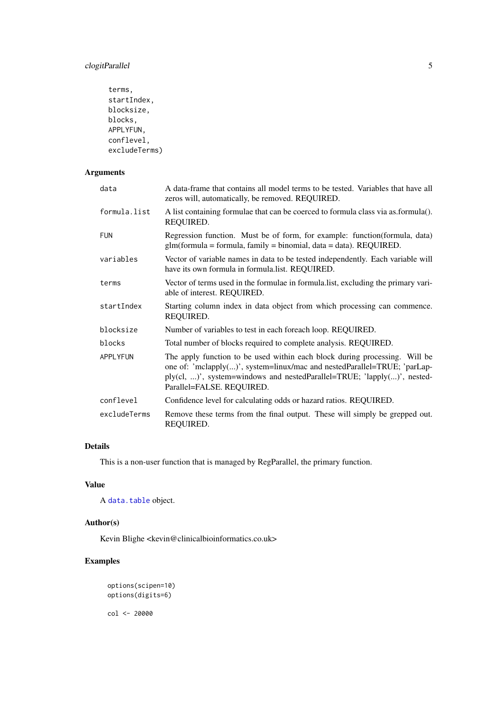# <span id="page-4-0"></span>clogitParallel 5

```
terms,
startIndex,
blocksize,
blocks,
APPLYFUN,
conflevel,
excludeTerms)
```
#### Arguments

| data            | A data-frame that contains all model terms to be tested. Variables that have all<br>zeros will, automatically, be removed. REQUIRED.                                                                                                                           |
|-----------------|----------------------------------------------------------------------------------------------------------------------------------------------------------------------------------------------------------------------------------------------------------------|
| formula.list    | A list containing formulae that can be coerced to formula class via as.formula().<br>REQUIRED.                                                                                                                                                                 |
| <b>FUN</b>      | Regression function. Must be of form, for example: function (formula, data)<br>$glm(formula = formula, family = binomial, data = data)$ . REQUIRED.                                                                                                            |
| variables       | Vector of variable names in data to be tested independently. Each variable will<br>have its own formula in formula.list. REQUIRED.                                                                                                                             |
| terms           | Vector of terms used in the formulae in formula.list, excluding the primary vari-<br>able of interest. REQUIRED.                                                                                                                                               |
| startIndex      | Starting column index in data object from which processing can commence.<br>REQUIRED.                                                                                                                                                                          |
| blocksize       | Number of variables to test in each foreach loop. REQUIRED.                                                                                                                                                                                                    |
| blocks          | Total number of blocks required to complete analysis. REQUIRED.                                                                                                                                                                                                |
| <b>APPLYFUN</b> | The apply function to be used within each block during processing. Will be<br>one of: 'mclapply()', system=linux/mac and nestedParallel=TRUE; 'parLap-<br>ply(cl, )', system=windows and nestedParallel=TRUE; 'lapply()', nested-<br>Parallel=FALSE. REQUIRED. |
| conflevel       | Confidence level for calculating odds or hazard ratios. REQUIRED.                                                                                                                                                                                              |
| excludeTerms    | Remove these terms from the final output. These will simply be grepped out.<br>REQUIRED.                                                                                                                                                                       |

### Details

This is a non-user function that is managed by RegParallel, the primary function.

# Value

A [data.table](#page-0-0) object.

# Author(s)

Kevin Blighe <kevin@clinicalbioinformatics.co.uk>

# Examples

```
options(scipen=10)
options(digits=6)
```
col <- 20000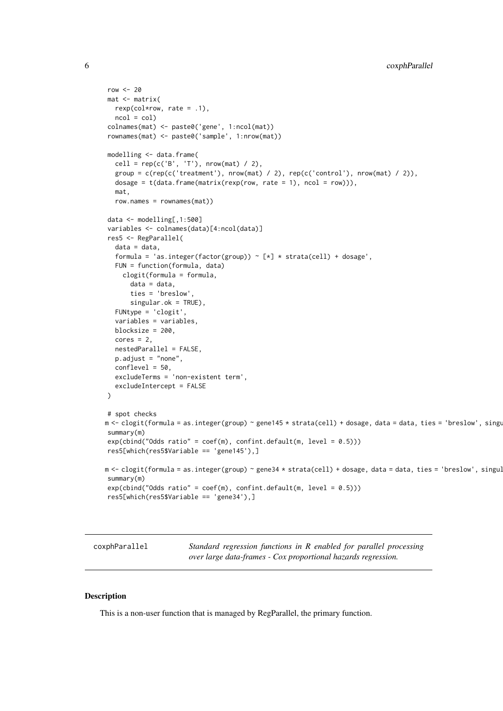```
row <-20mat <- matrix(
  rexp(col*row, rate = .1),
  ncol = colcolnames(mat) <- paste0('gene', 1:ncol(mat))
rownames(mat) <- paste0('sample', 1:nrow(mat))
modelling <- data.frame(
  cell = rep(c('B', 'T'), nrow(mat) / 2),
  group = c(rep(c('treatment'), nrow(mat) / 2), rep(c('control'), nrow(mat) / 2)),dosage = t(data.fname(matrix(rexp(row, rate = 1), ncol = row))),
  mat,
  row.names = rownames(mat))
data <- modelling[,1:500]
variables <- colnames(data)[4:ncol(data)]
res5 <- RegParallel(
  data = data.
  formula = 'as.integer(factor(group)) \sim [*] * strata(cell) + dosage',
  FUN = function(formula, data)
    clogit(formula = formula,
      data = data,
      ties = 'breslow'
      singular.ok = TRUE),
  FUNtype = 'clogit',
  variables = variables,
  blocksize = 200,
  cores = 2,nestedParallel = FALSE,
  p.adjust = "none",
  conflevel = 50,
  excludeTerms = 'non-existent term',
  excludeIntercept = FALSE
)
# spot checks
m <- clogit(formula = as.integer(group) ~ gene145 * strata(cell) + dosage, data = data, ties = 'breslow', singu
summary(m)
exp(cbind("Odds ratio" = coef(m), confint.default(m, level = 0.5)))res5[which(res5$Variable == 'gene145'),]
m <- clogit(formula = as.integer(group) ~ gene34 * strata(cell) + dosage, data = data, ties = 'breslow', singul
summary(m)
exp(cbind("Odds ratio" = coef(m), confint.default(m, level = 0.5)))res5[which(res5$Variable == 'gene34'),]
```
coxphParallel *Standard regression functions in R enabled for parallel processing over large data-frames - Cox proportional hazards regression.*

#### Description

This is a non-user function that is managed by RegParallel, the primary function.

<span id="page-5-0"></span>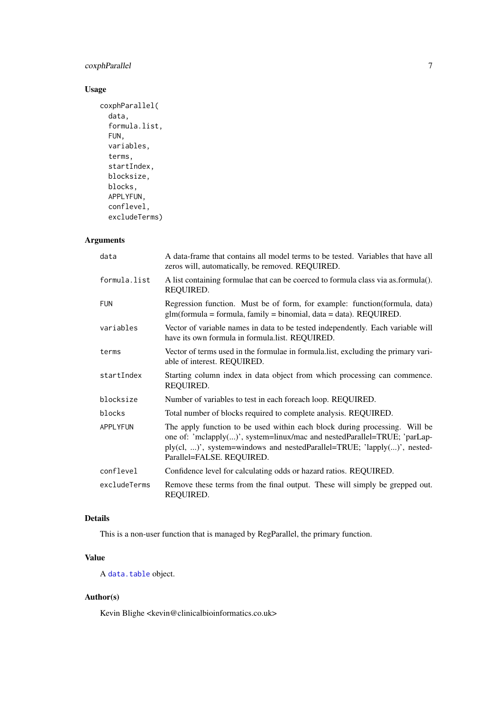# <span id="page-6-0"></span>coxphParallel 7

# Usage

```
coxphParallel(
  data,
  formula.list,
  FUN,
  variables,
  terms,
  startIndex,
  blocksize,
  blocks,
  APPLYFUN,
  conflevel,
  excludeTerms)
```
#### Arguments

| data         | A data-frame that contains all model terms to be tested. Variables that have all<br>zeros will, automatically, be removed. REQUIRED.                                                                                                                           |
|--------------|----------------------------------------------------------------------------------------------------------------------------------------------------------------------------------------------------------------------------------------------------------------|
| formula.list | A list containing formulae that can be coerced to formula class via as.formula().<br>REQUIRED.                                                                                                                                                                 |
| <b>FUN</b>   | Regression function. Must be of form, for example: function(formula, data)<br>$glm(formula = formula, family = binomial, data = data)$ . REQUIRED.                                                                                                             |
| variables    | Vector of variable names in data to be tested independently. Each variable will<br>have its own formula in formula.list. REQUIRED.                                                                                                                             |
| terms        | Vector of terms used in the formulae in formula list, excluding the primary vari-<br>able of interest. REQUIRED.                                                                                                                                               |
| startIndex   | Starting column index in data object from which processing can commence.<br>REQUIRED.                                                                                                                                                                          |
| blocksize    | Number of variables to test in each foreach loop. REQUIRED.                                                                                                                                                                                                    |
| blocks       | Total number of blocks required to complete analysis. REQUIRED.                                                                                                                                                                                                |
| APPLYFUN     | The apply function to be used within each block during processing. Will be<br>one of: 'mclapply()', system=linux/mac and nestedParallel=TRUE; 'parLap-<br>ply(cl, )', system=windows and nestedParallel=TRUE; 'lapply()', nested-<br>Parallel=FALSE. REQUIRED. |
| conflevel    | Confidence level for calculating odds or hazard ratios. REQUIRED.                                                                                                                                                                                              |
| excludeTerms | Remove these terms from the final output. These will simply be grepped out.<br>REQUIRED.                                                                                                                                                                       |

#### Details

This is a non-user function that is managed by RegParallel, the primary function.

# Value

A [data.table](#page-0-0) object.

# Author(s)

Kevin Blighe <kevin@clinicalbioinformatics.co.uk>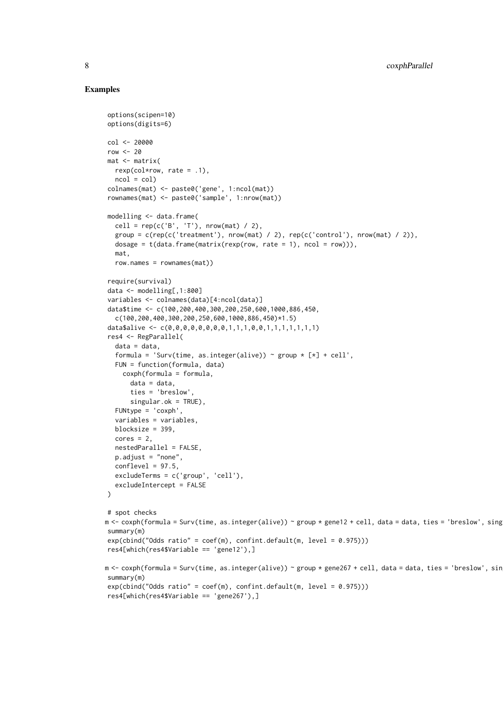#### Examples

options(scipen=10)

```
options(digits=6)
col <- 20000
row <-20mat <- matrix(
  rexp(col*row, rate = .1),ncol = col)
colnames(mat) <- paste0('gene', 1:ncol(mat))
rownames(mat) <- paste0('sample', 1:nrow(mat))
modelling <- data.frame(
  cell = rep(c('B', 'T'), nrow(mat) / 2),group = c(rep(c('treatment'), nrow(mat) / 2), rep(c('control'), nrow(mat) / 2)),
  dosage = t(data.fname(matrix(rexp(row, rate = 1), ncol = row))),
  mat,
  row.names = rownames(mat))
require(survival)
data <- modelling[,1:800]
variables <- colnames(data)[4:ncol(data)]
data$time <- c(100,200,400,300,200,250,600,1000,886,450,
  c(100,200,400,300,200,250,600,1000,886,450)*1.5)
data$alive <- c(0,0,0,0,0,0,0,0,1,1,1,0,0,1,1,1,1,1,1,1)
res4 <- RegParallel(
  data = data,
  formula = 'Surv(time, as.integer(alive)) ~ group \star [\star] + cell',
  FUN = function(formula, data)
    coxph(formula = formula,
      data = data,
      ties = 'breslow',
      singular.ok = TRUE),
  FUNtype = 'coxph',
  variables = variables,
  blocksize = 399,
  cores = 2,nestedParallel = FALSE,
  p.adjust = "none",
  conflevel = 97.5,
  excludeTerms = c('group', 'cell'),
  excludeIntercept = FALSE
\lambda# spot checks
m <- coxph(formula = Surv(time, as.integer(alive)) ~ group * gene12 + cell, data = data, ties = 'breslow', sing
summary(m)
exp(cbind("Odds ratio" = coef(m), confint.default(m, level = 0.975)))res4[which(res4$Variable == 'gene12'),]
m <- coxph(formula = Surv(time, as.integer(alive)) ~ group * gene267 + cell, data = data, ties = 'breslow', sin
summary(m)
exp(cbind("Odds ratio" = coef(m), confint.default(m, level = 0.975)))res4[which(res4$Variable == 'gene267'),]
```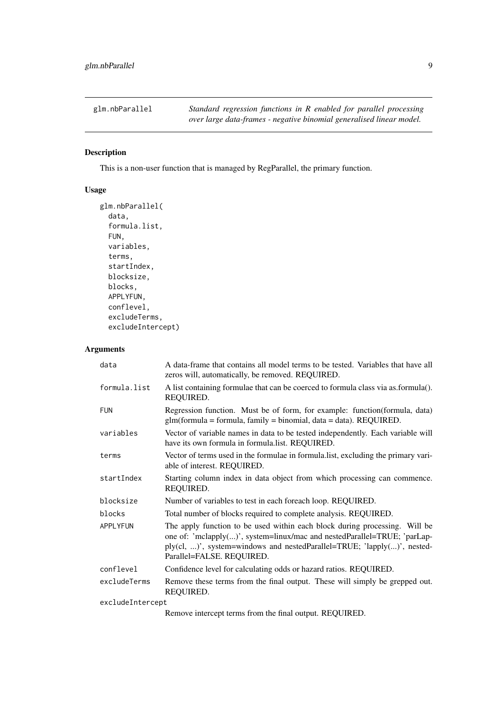<span id="page-8-0"></span>glm.nbParallel *Standard regression functions in R enabled for parallel processing over large data-frames - negative binomial generalised linear model.*

# Description

This is a non-user function that is managed by RegParallel, the primary function.

# Usage

```
glm.nbParallel(
  data,
  formula.list,
  FUN,
  variables,
  terms,
  startIndex,
  blocksize,
  blocks,
  APPLYFUN,
  conflevel,
  excludeTerms,
  excludeIntercept)
```
# Arguments

| data             | A data-frame that contains all model terms to be tested. Variables that have all<br>zeros will, automatically, be removed. REQUIRED.                                                                                                                           |
|------------------|----------------------------------------------------------------------------------------------------------------------------------------------------------------------------------------------------------------------------------------------------------------|
| formula.list     | A list containing formulae that can be coerced to formula class via as formula().<br>REQUIRED.                                                                                                                                                                 |
| <b>FUN</b>       | Regression function. Must be of form, for example: function(formula, data)<br>$glm(formula = formula, family = binomial, data = data)$ . REQUIRED.                                                                                                             |
| variables        | Vector of variable names in data to be tested independently. Each variable will<br>have its own formula in formula list. REQUIRED.                                                                                                                             |
| terms            | Vector of terms used in the formulae in formula list, excluding the primary vari-<br>able of interest. REQUIRED.                                                                                                                                               |
| startIndex       | Starting column index in data object from which processing can commence.<br>REQUIRED.                                                                                                                                                                          |
| blocksize        | Number of variables to test in each foreach loop. REQUIRED.                                                                                                                                                                                                    |
| blocks           | Total number of blocks required to complete analysis. REQUIRED.                                                                                                                                                                                                |
| APPLYFUN         | The apply function to be used within each block during processing. Will be<br>one of: 'mclapply()', system=linux/mac and nestedParallel=TRUE; 'parLap-<br>ply(cl, )', system=windows and nestedParallel=TRUE; 'lapply()', nested-<br>Parallel=FALSE. REQUIRED. |
| conflevel        | Confidence level for calculating odds or hazard ratios. REQUIRED.                                                                                                                                                                                              |
| excludeTerms     | Remove these terms from the final output. These will simply be grepped out.<br>REQUIRED.                                                                                                                                                                       |
| excludeIntercept |                                                                                                                                                                                                                                                                |

Remove intercept terms from the final output. REQUIRED.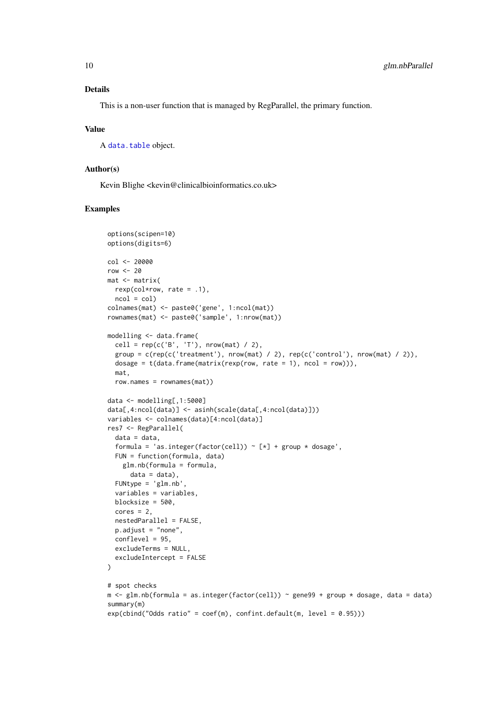#### <span id="page-9-0"></span>Details

This is a non-user function that is managed by RegParallel, the primary function.

#### Value

A [data.table](#page-0-0) object.

#### Author(s)

Kevin Blighe <kevin@clinicalbioinformatics.co.uk>

```
options(scipen=10)
options(digits=6)
col <- 20000
row <-20mat <- matrix(
 rexp(col*row, rate = .1),
 ncol = colcolnames(mat) <- paste0('gene', 1:ncol(mat))
rownames(mat) <- paste0('sample', 1:nrow(mat))
modelling <- data.frame(
  cell = rep(c('B', 'T'), nrow(mat) / 2),
  group = c(rep(c('treatment'), nrow(mat) / 2), rep(c('control'), nrow(mat) / 2)),
 dosage = t(data.fname(matrix(rexp(row, rate = 1), ncol = row)),
 mat,
 row.names = rownames(mat))
data <- modelling[,1:5000]
data[,4:ncol(data)] <- asinh(scale(data[,4:ncol(data)]))
variables <- colnames(data)[4:ncol(data)]
res7 <- RegParallel(
 data = data,
  formula = 'as.integer(factor(cell)) \sim [*] + group * dosage',
 FUN = function(formula, data)
   glm.nb(formula = formula,
     data = data),
  FUNtype = 'glm.nb',
  variables = variables,
  blocksize = 500,
  cores = 2,nestedParallel = FALSE,
  p.adjust = "none",
  conflevel = 95,
 excludeTerms = NULL,
  excludeIntercept = FALSE
\mathcal{L}# spot checks
m \leq glm.nb(formula = as.integer(factor(cell)) \sim gene99 + group * dosage, data = data)
summary(m)
exp(cbind("Odds ratio" = coef(m), confint.default(m, level = 0.95)))
```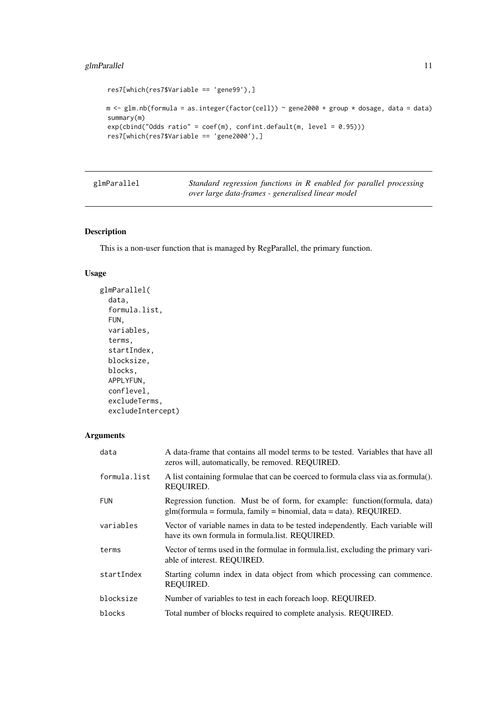### <span id="page-10-0"></span>glmParallel 11

```
res7[which(res7$Variable == 'gene99'),]
m \leq g \ln nb(formula = as.integer(factor(cell)) ~ gene2000 + group * dosage, data = data)
summary(m)
exp(cbind("Odds ratio" = coef(m), confint.default(m, level = 0.95)))res7[which(res7$Variable == 'gene2000'),]
```

| glmParallel | Standard regression functions in R enabled for parallel processing |
|-------------|--------------------------------------------------------------------|
|             | over large data-frames - generalised linear model                  |

#### Description

This is a non-user function that is managed by RegParallel, the primary function.

# Usage

```
glmParallel(
  data,
  formula.list,
  FUN,
  variables,
  terms,
  startIndex,
  blocksize,
  blocks,
  APPLYFUN,
  conflevel,
  excludeTerms,
  excludeIntercept)
```
#### Arguments

| data         | A data-frame that contains all model terms to be tested. Variables that have all<br>zeros will, automatically, be removed. REQUIRED.                |
|--------------|-----------------------------------------------------------------------------------------------------------------------------------------------------|
| formula.list | A list containing formulae that can be coerced to formula class via as formula().<br>REQUIRED.                                                      |
| <b>FUN</b>   | Regression function. Must be of form, for example: function (formula, data)<br>$glm(formula = formula, family = binomial, data = data)$ . REQUIRED. |
| variables    | Vector of variable names in data to be tested independently. Each variable will<br>have its own formula in formula.list. REQUIRED.                  |
| terms        | Vector of terms used in the formulae in formula. Itst, excluding the primary vari-<br>able of interest. REQUIRED.                                   |
| startIndex   | Starting column index in data object from which processing can commence.<br>REOUIRED.                                                               |
| blocksize    | Number of variables to test in each foreach loop. REQUIRED.                                                                                         |
| blocks       | Total number of blocks required to complete analysis. REQUIRED.                                                                                     |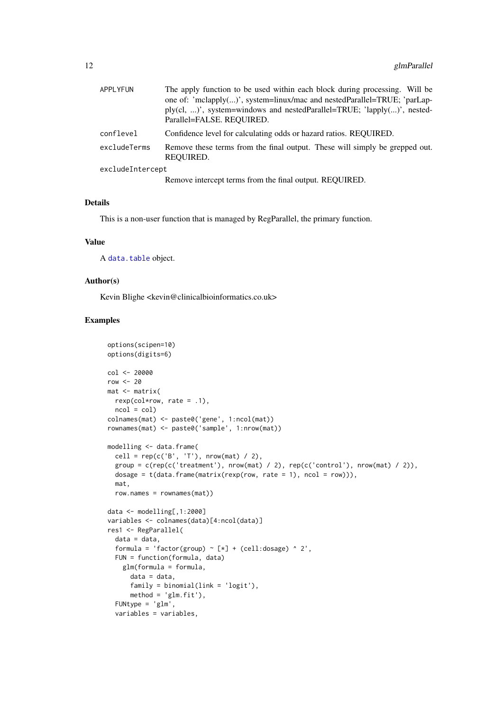<span id="page-11-0"></span>

| <b>APPLYFUN</b>  | The apply function to be used within each block during processing. Will be<br>one of: 'mclapply()', system=linux/mac and nestedParallel=TRUE; 'parLap-<br>$ply (cl, )$ ', system=windows and nestedParallel=TRUE; 'lapply()', nested-<br>Parallel=FALSE, REOUIRED. |
|------------------|--------------------------------------------------------------------------------------------------------------------------------------------------------------------------------------------------------------------------------------------------------------------|
| conflevel        | Confidence level for calculating odds or hazard ratios. REQUIRED.                                                                                                                                                                                                  |
| excludeTerms     | Remove these terms from the final output. These will simply be grepped out.<br>REQUIRED.                                                                                                                                                                           |
| excludeIntercept |                                                                                                                                                                                                                                                                    |
|                  | Remove intercept terms from the final output. REQUIRED.                                                                                                                                                                                                            |

#### Details

This is a non-user function that is managed by RegParallel, the primary function.

#### Value

A [data.table](#page-0-0) object.

#### Author(s)

Kevin Blighe <kevin@clinicalbioinformatics.co.uk>

```
options(scipen=10)
options(digits=6)
col <- 20000
row <-20mat <- matrix(
 rexp(col*row, rate = .1),
 ncol = colcolnames(mat) <- paste0('gene', 1:ncol(mat))
rownames(mat) <- paste0('sample', 1:nrow(mat))
modelling <- data.frame(
  cell = rep(c('B', 'T'), nrow(mat) / 2),
  group = c(rep(c('treatment'), nrow(mat) / 2), rep(c('control'), nrow(mat) / 2)),
  dosage = t(data.frame(matrix(rexp(row, rate = 1), ncol = row))),
  mat,
  row.names = rownames(mat))
data <- modelling[,1:2000]
variables <- colnames(data)[4:ncol(data)]
res1 <- RegParallel(
  data = data,
  formula = 'factor(group) \sim [*] + (cell:dosage) \land 2',
  FUN = function(formula, data)
    glm(formula = formula,
      data = data,
      family = binomial(link = 'logit'),
      method = 'glm.fit'),
  FUNtype = 'glm',
  variables = variables,
```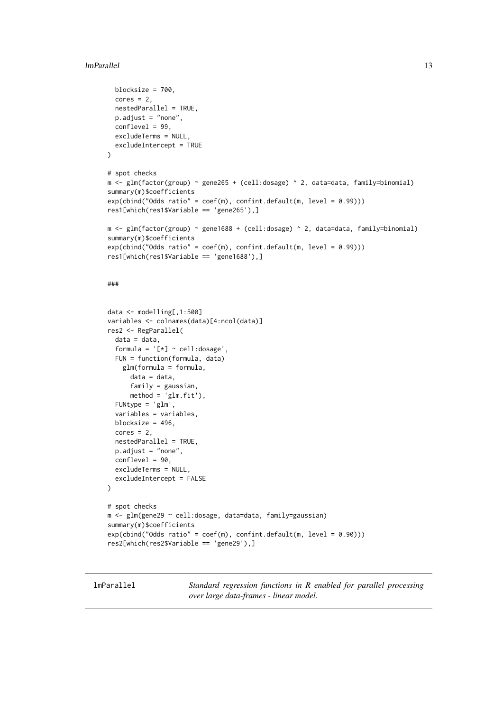#### <span id="page-12-0"></span>lmParallel 13

```
blocksize = 700,
 cores = 2.
 nestedParallel = TRUE,
 p.adjust = "none",
 conflevel = 99,
 excludeTerms = NULL,
 excludeIntercept = TRUE
\lambda# spot checks
m \leq 2lm(factor(group) ~ gene265 + (cell:dosage) ^ 2, data=data, family=binomial)
summary(m)$coefficients
exp(cbind("Odds ratio" = coef(m), confint.default(m, level = 0.99)))res1[which(res1$Variable == 'gene265'),]
m <- glm(factor(group) ~ gene1688 + (cell:dosage) ^ 2, data=data, family=binomial)
summary(m)$coefficients
exp(cbind("Odds ratio" = coef(m), confint.default(m, level = 0.99)))res1[which(res1$Variable == 'gene1688'),]
###
data <- modelling[,1:500]
variables <- colnames(data)[4:ncol(data)]
res2 <- RegParallel(
 data = data,
 formula = '[*) \sim cell:dosage',
 FUN = function(formula, data)
   glm(formula = formula,
      data = data,
      family = gaussian,
      method = 'glm.fit'),FUNtype = 'glm',
 variables = variables,
 blocksize = 496,
 cores = 2,nestedParallel = TRUE,
 p.adjust = "none",
 conflevel = 90,
 excludeTerms = NULL,
 excludeIntercept = FALSE
\lambda# spot checks
m <- glm(gene29 ~ cell:dosage, data=data, family=gaussian)
summary(m)$coefficients
exp(cbind("Odds ratio" = coef(m), confint.default(m, level = 0.90)))res2[which(res2$Variable == 'gene29'),]
```
lmParallel *Standard regression functions in R enabled for parallel processing over large data-frames - linear model.*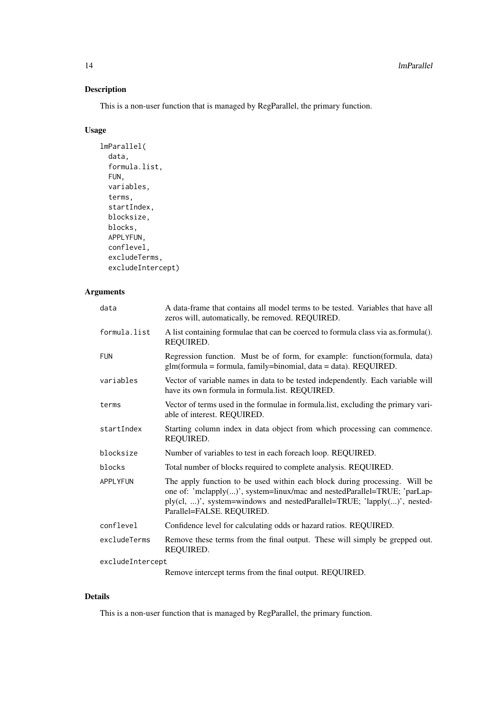# Description

This is a non-user function that is managed by RegParallel, the primary function.

# Usage

```
lmParallel(
  data,
  formula.list,
  FUN,
  variables,
  terms,
  startIndex,
  blocksize,
  blocks,
  APPLYFUN,
  conflevel,
  excludeTerms,
  excludeIntercept)
```
# Arguments

| data             | A data-frame that contains all model terms to be tested. Variables that have all<br>zeros will, automatically, be removed. REQUIRED.                                                                                                                           |
|------------------|----------------------------------------------------------------------------------------------------------------------------------------------------------------------------------------------------------------------------------------------------------------|
| formula.list     | A list containing formulae that can be coerced to formula class via as formula().<br>REQUIRED.                                                                                                                                                                 |
| <b>FUN</b>       | Regression function. Must be of form, for example: function(formula, data)<br>$glm(formula = formula, family = binomial, data = data). REQUIRED.$                                                                                                              |
| variables        | Vector of variable names in data to be tested independently. Each variable will<br>have its own formula in formula.list. REQUIRED.                                                                                                                             |
| terms            | Vector of terms used in the formulae in formula list, excluding the primary vari-<br>able of interest. REQUIRED.                                                                                                                                               |
| startIndex       | Starting column index in data object from which processing can commence.<br>REQUIRED.                                                                                                                                                                          |
| blocksize        | Number of variables to test in each foreach loop. REQUIRED.                                                                                                                                                                                                    |
| blocks           | Total number of blocks required to complete analysis. REQUIRED.                                                                                                                                                                                                |
| <b>APPLYFUN</b>  | The apply function to be used within each block during processing. Will be<br>one of: 'mclapply()', system=linux/mac and nestedParallel=TRUE; 'parLap-<br>ply(cl, )', system=windows and nestedParallel=TRUE; 'lapply()', nested-<br>Parallel=FALSE. REQUIRED. |
| conflevel        | Confidence level for calculating odds or hazard ratios. REQUIRED.                                                                                                                                                                                              |
| excludeTerms     | Remove these terms from the final output. These will simply be grepped out.<br>REQUIRED.                                                                                                                                                                       |
| excludeIntercept |                                                                                                                                                                                                                                                                |
|                  | Remove intercept terms from the final output. REQUIRED.                                                                                                                                                                                                        |

Details

This is a non-user function that is managed by RegParallel, the primary function.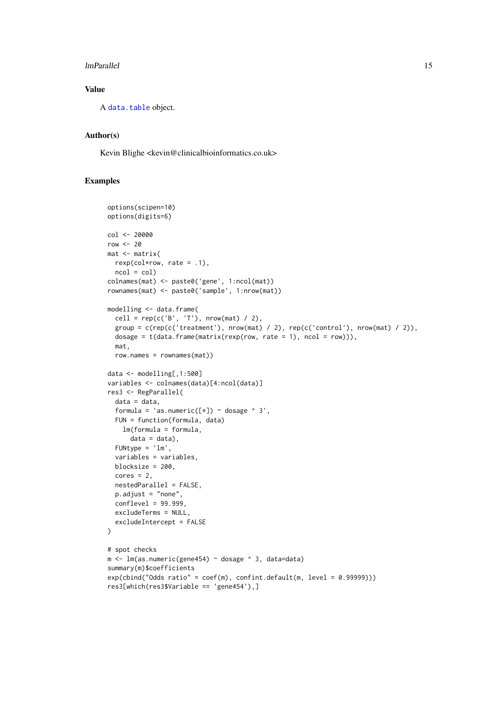#### <span id="page-14-0"></span>lmParallel 15

# Value

A [data.table](#page-0-0) object.

## Author(s)

Kevin Blighe <kevin@clinicalbioinformatics.co.uk>

```
options(scipen=10)
options(digits=6)
col <- 20000
row <-20mat <- matrix(
 rexp(col*row, rate = .1),
 ncol = colcolnames(mat) <- paste0('gene', 1:ncol(mat))
rownames(mat) <- paste0('sample', 1:nrow(mat))
modelling <- data.frame(
  cell = rep(c('B', 'T'), nrow(mat) / 2),group = c(rep(c('treatment'), nrow(mat) / 2), rep(c('control'), nrow(mat) / 2)),
  dosage = t(data.fname(matrix(rexp(row, rate = 1), ncol = row)),
  mat,
  row.names = rownames(mat))
data <- modelling[,1:500]
variables <- colnames(data)[4:ncol(data)]
res3 <- RegParallel(
  data = data,
  formula = 'as.numeric([*]) ~ dosage ^ 3',
  FUN = function(formula, data)
   lm(formula = formula,
     data = data),
  FUNtype = 'lm',
  variables = variables,
  blocksize = 200,
  cores = 2,nestedParallel = FALSE,
  p.adjust = "none",
  conflevel = 99.999,
 excludeTerms = NULL,
  excludeIntercept = FALSE
\mathcal{L}# spot checks
m \leq 1m(as.numeric(gene454) ~ dosage ^ 3, data=data)
summary(m)$coefficients
exp(cbind("Odds ratio" = coef(m), confint.default(m, level = 0.99999)))res3[which(res3$Variable == 'gene454'),]
```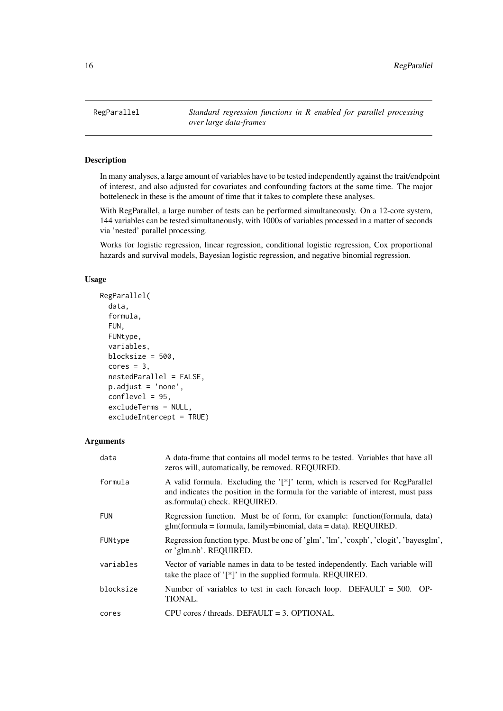<span id="page-15-0"></span>

#### Description

In many analyses, a large amount of variables have to be tested independently against the trait/endpoint of interest, and also adjusted for covariates and confounding factors at the same time. The major botteleneck in these is the amount of time that it takes to complete these analyses.

With RegParallel, a large number of tests can be performed simultaneously. On a 12-core system, 144 variables can be tested simultaneously, with 1000s of variables processed in a matter of seconds via 'nested' parallel processing.

Works for logistic regression, linear regression, conditional logistic regression, Cox proportional hazards and survival models, Bayesian logistic regression, and negative binomial regression.

#### Usage

```
RegParallel(
  data,
  formula,
  FUN,
  FUNtype,
  variables,
  blocksize = 500,
  cores = 3,
  nestedParallel = FALSE,
  p.adjust = 'none',
  conflevel = 95,
  excludeTerms = NULL,
  excludeIntercept = TRUE)
```
#### Arguments

| data       | A data-frame that contains all model terms to be tested. Variables that have all<br>zeros will, automatically, be removed. REQUIRED.                                                               |
|------------|----------------------------------------------------------------------------------------------------------------------------------------------------------------------------------------------------|
| formula    | A valid formula. Excluding the '[*]' term, which is reserved for RegParallel<br>and indicates the position in the formula for the variable of interest, must pass<br>as.formula() check. REQUIRED. |
| <b>FUN</b> | Regression function. Must be of form, for example: function (formula, data)<br>$glm(formula = formula, family = binomial, data = data)$ . REQUIRED.                                                |
| FUNtype    | Regression function type. Must be one of 'glm', 'lm', 'coxph', 'clogit', 'bayesglm',<br>or 'glm.nb'. REQUIRED.                                                                                     |
| variables  | Vector of variable names in data to be tested independently. Each variable will<br>take the place of $'[*]'$ in the supplied formula. REQUIRED.                                                    |
| blocksize  | Number of variables to test in each foreach loop. DEFAULT = $500$ . OP-<br><b>TIONAL.</b>                                                                                                          |
| cores      | CPU cores / threads. DEFAULT = 3. OPTIONAL.                                                                                                                                                        |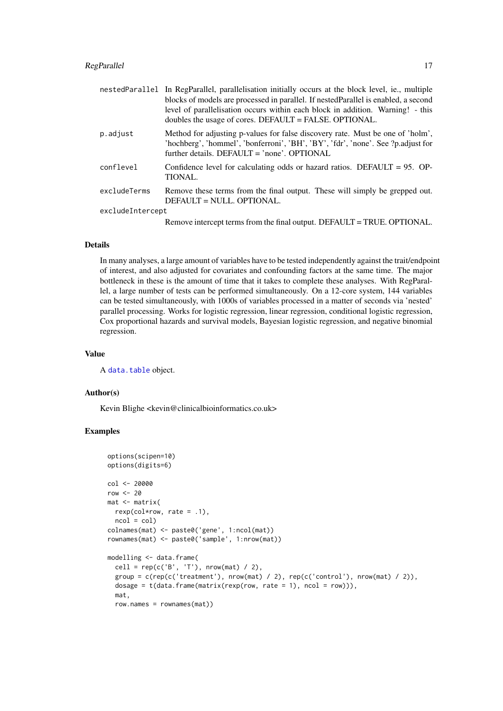<span id="page-16-0"></span>

|                  | nestedParallel In RegParallel, parallelisation initially occurs at the block level, ie., multiple<br>blocks of models are processed in parallel. If nestedParallel is enabled, a second<br>level of parallelisation occurs within each block in addition. Warning! - this<br>doubles the usage of cores. DEFAULT = FALSE. OPTIONAL. |
|------------------|-------------------------------------------------------------------------------------------------------------------------------------------------------------------------------------------------------------------------------------------------------------------------------------------------------------------------------------|
| p.adjust         | Method for adjusting p-values for false discovery rate. Must be one of 'holm',<br>'hochberg', 'hommel', 'bonferroni', 'BH', 'BY', 'fdr', 'none'. See ?p.adjust for<br>further details. DEFAULT = 'none'. OPTIONAL                                                                                                                   |
| conflevel        | Confidence level for calculating odds or hazard ratios. DEFAULT = $95.$ OP-<br>TIONAL.                                                                                                                                                                                                                                              |
| excludeTerms     | Remove these terms from the final output. These will simply be grepped out.<br>DEFAULT = NULL. OPTIONAL.                                                                                                                                                                                                                            |
| excludeIntercept |                                                                                                                                                                                                                                                                                                                                     |
|                  | Remove intercept terms from the final output. DEFAULT = TRUE. OPTIONAL.                                                                                                                                                                                                                                                             |

# Details

In many analyses, a large amount of variables have to be tested independently against the trait/endpoint of interest, and also adjusted for covariates and confounding factors at the same time. The major bottleneck in these is the amount of time that it takes to complete these analyses. With RegParallel, a large number of tests can be performed simultaneously. On a 12-core system, 144 variables can be tested simultaneously, with 1000s of variables processed in a matter of seconds via 'nested' parallel processing. Works for logistic regression, linear regression, conditional logistic regression, Cox proportional hazards and survival models, Bayesian logistic regression, and negative binomial regression.

#### Value

A [data.table](#page-0-0) object.

#### Author(s)

Kevin Blighe <kevin@clinicalbioinformatics.co.uk>

```
options(scipen=10)
options(digits=6)
col <- 20000
row < -20mat <- matrix(
 rexp(col*row, rate = .1),
 ncol = colcolnames(mat) <- paste0('gene', 1:ncol(mat))
rownames(mat) <- paste0('sample', 1:nrow(mat))
modelling <- data.frame(
 cell = rep(c('B', 'T'), nrow(mat) / 2),group = c(rep(c('treatment'), nrow(mat) / 2), rep(c('control'), nrow(mat) / 2)),
 dosage = t(data.fname(matrix(rexp(row, rate = 1), ncol = row)),
 mat,
 row.names = rownames(mat))
```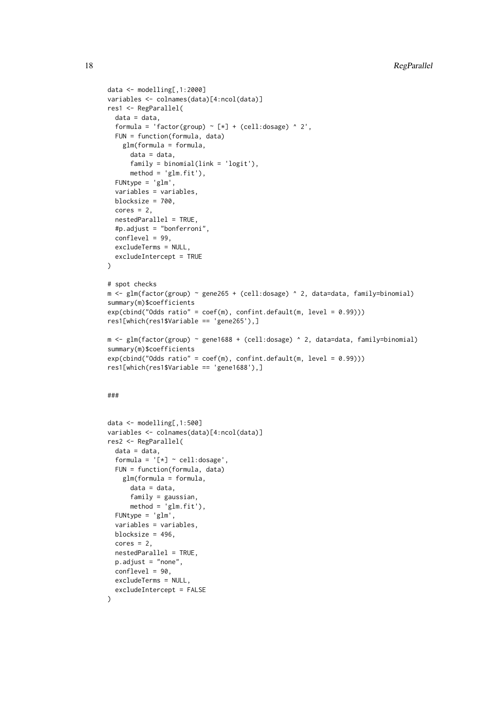```
data <- modelling[,1:2000]
variables <- colnames(data)[4:ncol(data)]
res1 <- RegParallel(
 data = data,
 formula = 'factor(group) \sim [*] + (cell:dosage) \land 2',
 FUN = function(formula, data)
    glm(formula = formula,
      data = data.
      family = binomial(link = 'logit'),
      method = 'glm.fit').
 FUNtype = 'glm',
 variables = variables,
 blocksize = 700,
 cores = 2,nestedParallel = TRUE,
 #p.adjust = "bonferroni",
 conflevel = 99,
 excludeTerms = NULL,
 excludeIntercept = TRUE
\lambda# spot checks
m \leq -g \ln(\text{factor}(\text{group}) \approx \text{gene265 + (cell:dosage}) \approx 2, \text{ data=data, family=binomial})summary(m)$coefficients
exp(cbind("Odds ratio" = coef(m), confint.default(m, level = 0.99)))res1[which(res1$Variable == 'gene265'),]
m <- glm(factor(group) ~ gene1688 + (cell:dosage) ^ 2, data=data, family=binomial)
summary(m)$coefficients
exp(cbind("Odds ratio" = coef(m), confint.default(m, level = 0.99)))
res1[which(res1$Variable == 'gene1688'),]
###
data <- modelling[,1:500]
variables <- colnames(data)[4:ncol(data)]
```

```
res2 <- RegParallel(
 data = data,formula = '[*) \sim \text{cell:}dosage',
 FUN = function(formula, data)
    glm(formula = formula,
      data = data,
      family = gaussian,
      method = 'glm.fit'),FUNtype = 'glm',
 variables = variables,
 blocksize = 496.
 cores = 2,
 nestedParallel = TRUE,
 p.addjust = "none".conflevel = 90,
 excludeTerms = NULL,
 excludeIntercept = FALSE
\lambda
```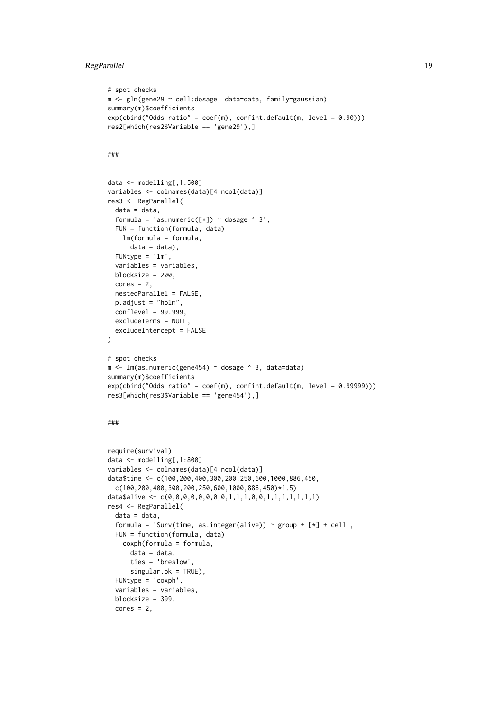#### RegParallel 19

```
# spot checks
m <- glm(gene29 ~ cell:dosage, data=data, family=gaussian)
summary(m)$coefficients
exp(cbind("Odds ratio" = coef(m), confint.default(m, level = 0.90)))
res2[which(res2$Variable == 'gene29'),]
```
# ###

```
data <- modelling[,1:500]
variables <- colnames(data)[4:ncol(data)]
res3 <- RegParallel(
 data = data,
  formula = 'as.numeric([\ast]) ~ dosage ^ 3',
 FUN = function(formula, data)
    lm(formula = formula,
      data = data).
 FUNtype = 'lm',
  variables = variables,
  blocksize = 200,
  cores = 2,
  nestedParallel = FALSE,
  p.adjust = "holm",
  conflevel = 99.999,
  excludeTerms = NULL,
  excludeIntercept = FALSE
\lambda# spot checks
m <- lm(as.numeric(gene454) ~ dosage ^ 3, data=data)
summary(m)$coefficients
exp(chind("Odds ratio" = coeff(m), confint.default(m, level = 0.99999)))res3[which(res3$Variable == 'gene454'),]
```
# ###

```
require(survival)
data <- modelling[,1:800]
variables <- colnames(data)[4:ncol(data)]
data$time <- c(100,200,400,300,200,250,600,1000,886,450,
 c(100,200,400,300,200,250,600,1000,886,450)*1.5)
data$alive <- c(0,0,0,0,0,0,0,0,1,1,1,0,0,1,1,1,1,1,1,1)
res4 <- RegParallel(
 data = data,
 formula = 'Surv(time, as.integer(alive)) ~ group \star [\star] + cell',
 FUN = function(formula, data)
   coxph(formula = formula,
      data = data.
      ties = 'breslow',
      singular.ok = TRUE),
 FUNtype = 'coxph',
 variables = variables,
 blocksize = 399,
 cores = 2,
```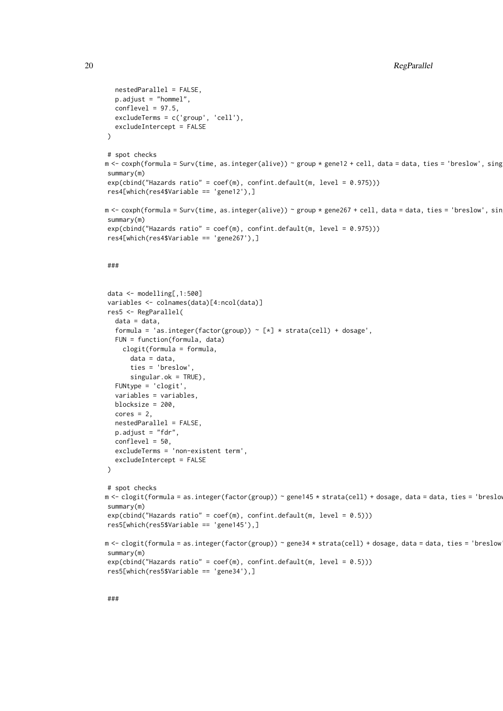```
nestedParallel = FALSE,
  p.adjust = "hommel",
  conflevel = 97.5,
  excludeTerms = c('group', 'cell'),
  excludeIntercept = FALSE
\lambda# spot checks
m <- coxph(formula = Surv(time, as.integer(alive)) ~ group * gene12 + cell, data = data, ties = 'breslow', sing
summary(m)
exp(cbind("Hazards ratio" = coef(m), confint.default(m, level = 0.975)))
res4[which(res4$Variable == 'gene12'),]
m <- coxph(formula = Surv(time, as.integer(alive)) ~ group * gene267 + cell, data = data, ties = 'breslow', sin
summary(m)
exp(cbind("Hazards ratio" = coef(m), confint.default(m, level = 0.975)))
res4[which(res4$Variable == 'gene267'),]
###
data <- modelling[,1:500]
variables <- colnames(data)[4:ncol(data)]
res5 <- RegParallel(
  data = data,
  formula = 'as.integer(factor(group)) \sim [*] * strata(cell) + dosage',
  FUN = function(formula, data)
    clogit(formula = formula,
      data = data,
      ties = 'breslow',
      singular.ok = TRUE),
  FUNtype = 'clogit',
  variables = variables,
  blocksize = 200,
  cores = 2.
  nestedParallel = FALSE,
  p.adjust = "fdr",
  conflevel = 50,
  excludeTerms = 'non-existent term',
  excludeIntercept = FALSE
\lambda# spot checks
m <- clogit(formula = as.integer(factor(group)) ~ gene145 * strata(cell) + dosage, data = data, ties = 'breslo
summary(m)
exp(cbind("Hazards ratio" = coef(m), confint.default(m, level = 0.5)))res5[which(res5$Variable == 'gene145'),]
m <- clogit(formula = as.integer(factor(group)) ~ gene34 * strata(cell) + dosage, data = data, ties = 'breslow
summary(m)
exp(cbind("Hazards ratio" = coef(m), confint.default(m, level = (0.5)))
res5[which(res5$Variable == 'gene34'),]
```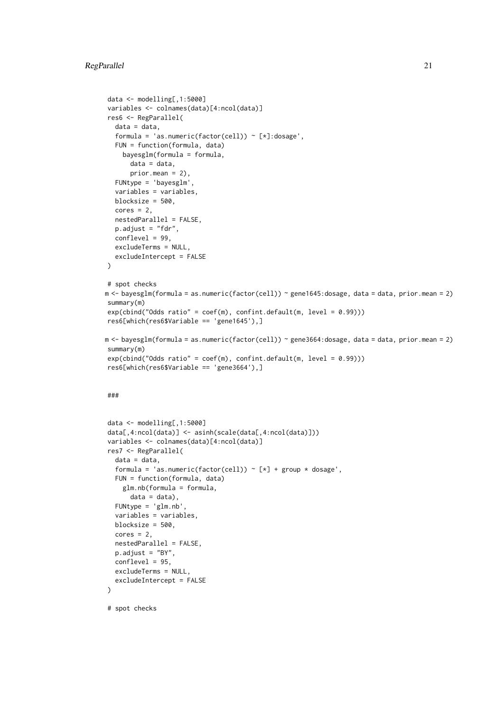#### RegParallel 21

```
data \leq modelling[, 1:5000]
variables <- colnames(data)[4:ncol(data)]
res6 <- RegParallel(
  data = data.
  formula = 'as.numeric(factor(cell)) ~ [*]:dosage',
  FUN = function(formula, data)
    bayesglm(formula = formula,
      data = data,
      prior.mean = 2).
  FUNtype = 'bayesglm',
  variables = variables,
  blocksize = 500,
  cores = 2,nestedParallel = FALSE,
  p.adjust = "fdr",
  conflevel = 99,
  excludeTerms = NULL,
  excludeIntercept = FALSE
\lambda# spot checks
m <- bayesglm(formula = as.numeric(factor(cell)) ~ gene1645:dosage, data = data, prior.mean = 2)
summary(m)
exp(cbind('Odds ratio'' = coef(m), confint.default(m, level = 0.99)))res6[which(res6$Variable == 'gene1645'),]
m <- bayesglm(formula = as.numeric(factor(cell)) ~ gene3664:dosage, data = data, prior.mean = 2)
summary(m)
exp(cbind("Odds ratio" = coef(m), confint.default(m, level = 0.99)))
res6[which(res6$Variable == 'gene3664'),]
###
data <- modelling[,1:5000]
data[,4:ncol(data)] <- asinh(scale(data[,4:ncol(data)]))
variables <- colnames(data)[4:ncol(data)]
res7 <- RegParallel(
  data = data,
  formula = 'as.numeric(factor(cell)) \sim [*] + group * dosage',
  FUN = function(formula, data)
    glm.nb(formula = formula,
      data = data),
  FUNtype = 'glm.nb',
  variables = variables,
  blocksize = 500,
  cores = 2.
  nestedParallel = FALSE,
  p.adjust = "BY",
  conflevel = 95.excludeTerms = NULL,
  excludeIntercept = FALSE
\lambda# spot checks
```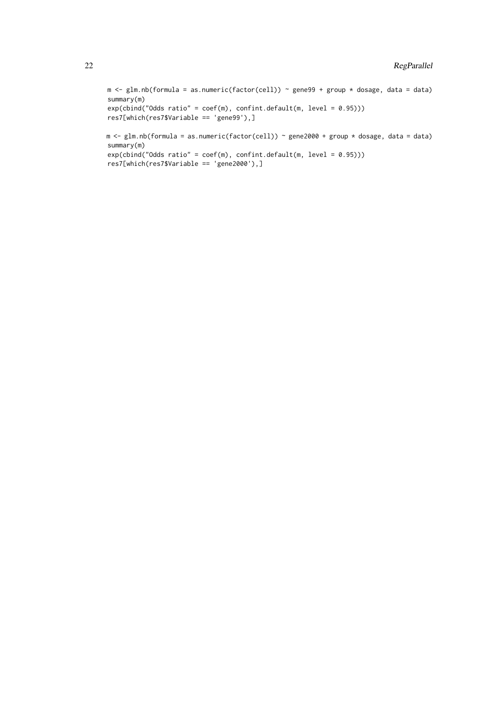```
m <- glm.nb(formula = as.numeric(factor(cell)) ~ gene99 + group * dosage, data = data)
summary(m)
exp(cbind("Odds ratio" = coef(m), confint.default(m, level = 0.95)))res7[which(res7$Variable == 'gene99'),]
m <- glm.nb(formula = as.numeric(factor(cell)) ~ gene2000 + group * dosage, data = data)
summary(m)
exp(cbind("Odds ratio" = coef(m), confint.default(m, level = 0.95)))res7[which(res7$Variable == 'gene2000'),]
```